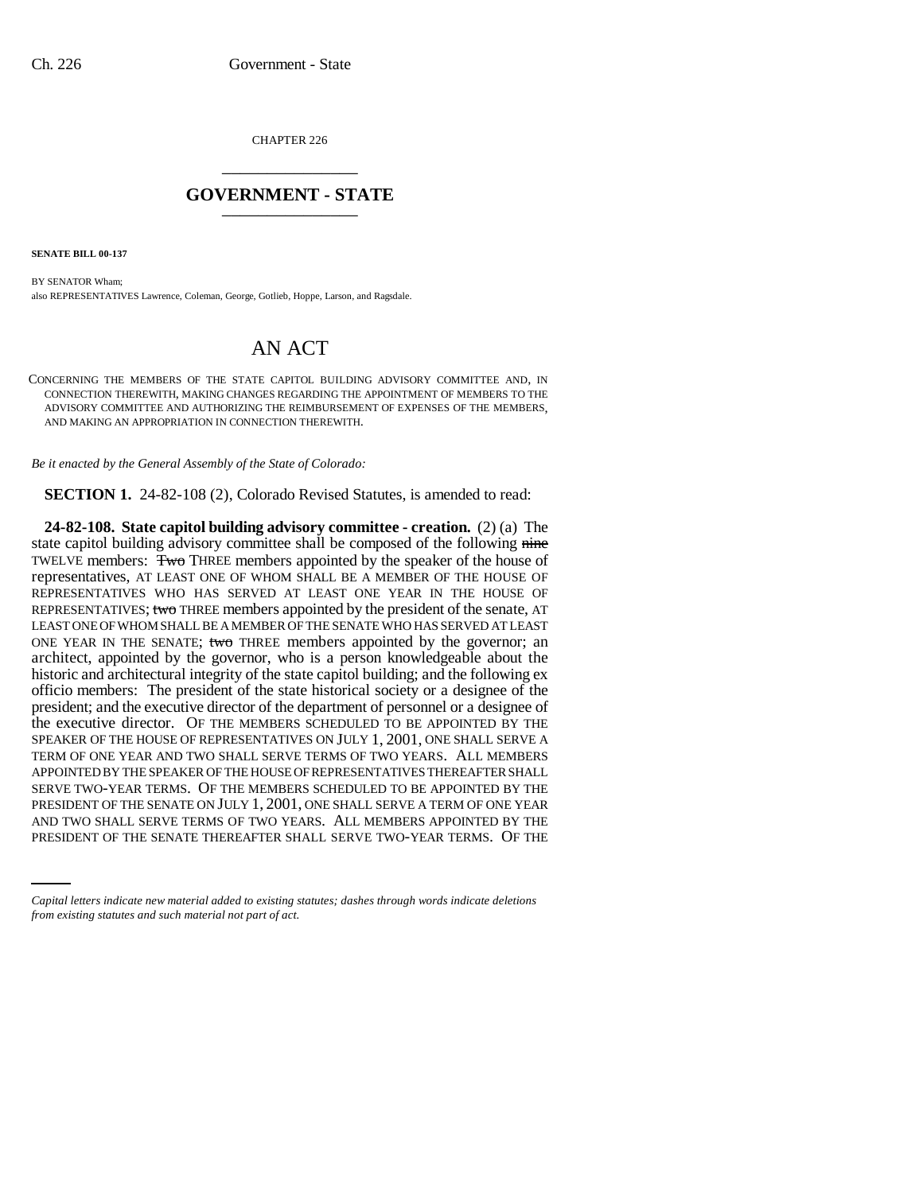CHAPTER 226 \_\_\_\_\_\_\_\_\_\_\_\_\_\_\_

## **GOVERNMENT - STATE** \_\_\_\_\_\_\_\_\_\_\_\_\_\_\_

**SENATE BILL 00-137** 

BY SENATOR Wham; also REPRESENTATIVES Lawrence, Coleman, George, Gotlieb, Hoppe, Larson, and Ragsdale.

## AN ACT

CONCERNING THE MEMBERS OF THE STATE CAPITOL BUILDING ADVISORY COMMITTEE AND, IN CONNECTION THEREWITH, MAKING CHANGES REGARDING THE APPOINTMENT OF MEMBERS TO THE ADVISORY COMMITTEE AND AUTHORIZING THE REIMBURSEMENT OF EXPENSES OF THE MEMBERS, AND MAKING AN APPROPRIATION IN CONNECTION THEREWITH.

*Be it enacted by the General Assembly of the State of Colorado:*

**SECTION 1.** 24-82-108 (2), Colorado Revised Statutes, is amended to read:

PRESIDENT OF THE SENATE ON JULY 1, 2001, ONE SHALL SERVE A TERM OF ONE YEAR **24-82-108. State capitol building advisory committee - creation.** (2) (a) The state capitol building advisory committee shall be composed of the following nine TWELVE members: Two THREE members appointed by the speaker of the house of representatives, AT LEAST ONE OF WHOM SHALL BE A MEMBER OF THE HOUSE OF REPRESENTATIVES WHO HAS SERVED AT LEAST ONE YEAR IN THE HOUSE OF REPRESENTATIVES; two THREE members appointed by the president of the senate, AT LEAST ONE OF WHOM SHALL BE A MEMBER OF THE SENATE WHO HAS SERVED AT LEAST ONE YEAR IN THE SENATE; two THREE members appointed by the governor; an architect, appointed by the governor, who is a person knowledgeable about the historic and architectural integrity of the state capitol building; and the following ex officio members: The president of the state historical society or a designee of the president; and the executive director of the department of personnel or a designee of the executive director. OF THE MEMBERS SCHEDULED TO BE APPOINTED BY THE SPEAKER OF THE HOUSE OF REPRESENTATIVES ON JULY 1, 2001, ONE SHALL SERVE A TERM OF ONE YEAR AND TWO SHALL SERVE TERMS OF TWO YEARS. ALL MEMBERS APPOINTED BY THE SPEAKER OF THE HOUSE OF REPRESENTATIVES THEREAFTER SHALL SERVE TWO-YEAR TERMS. OF THE MEMBERS SCHEDULED TO BE APPOINTED BY THE AND TWO SHALL SERVE TERMS OF TWO YEARS. ALL MEMBERS APPOINTED BY THE PRESIDENT OF THE SENATE THEREAFTER SHALL SERVE TWO-YEAR TERMS. OF THE

*Capital letters indicate new material added to existing statutes; dashes through words indicate deletions from existing statutes and such material not part of act.*